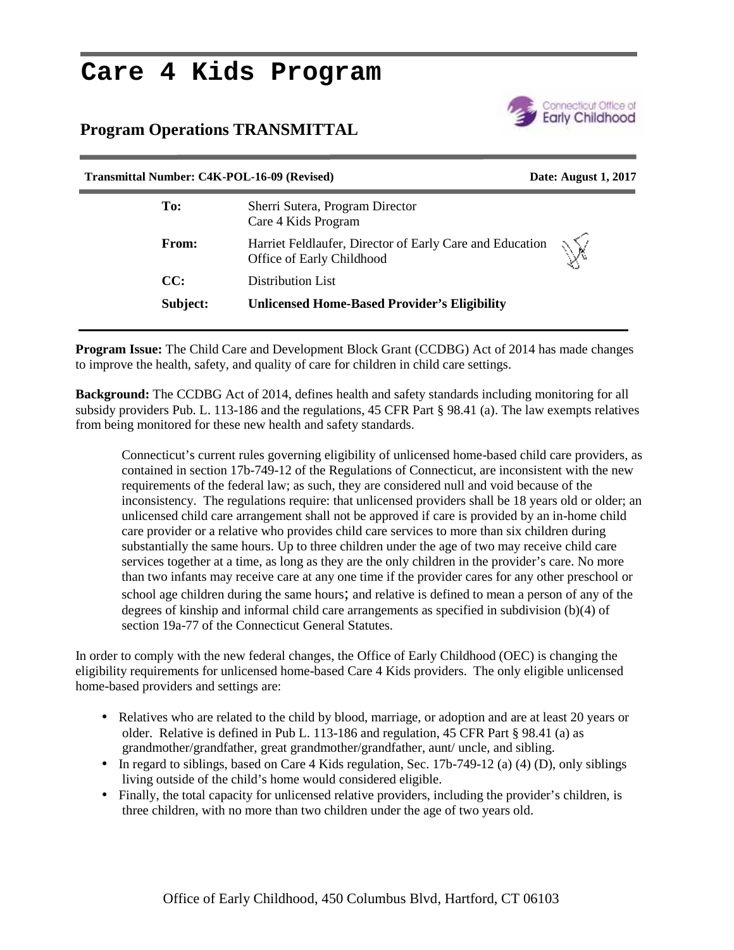# **Care 4 Kids Program**

### **Program Operations TRANSMITTAL**



## **Transmittal Number: C4K-POL-16-09 (Revised) Date: August 1, 2017 To:** Sherri Sutera, Program Director Care 4 Kids Program **From:** Harriet Feldlaufer, Director of Early Care and Education Office of Early Childhood **CC:** Distribution List **Subject: Unlicensed Home-Based Provider's Eligibility**

**Program Issue:** The Child Care and Development Block Grant (CCDBG) Act of 2014 has made changes to improve the health, safety, and quality of care for children in child care settings.

**Background:** The CCDBG Act of 2014, defines health and safety standards including monitoring for all subsidy providers Pub. L. 113-186 and the regulations, 45 CFR Part § 98.41 (a). The law exempts relatives from being monitored for these new health and safety standards.

Connecticut's current rules governing eligibility of unlicensed home-based child care providers, as contained in section 17b-749-12 of the Regulations of Connecticut, are inconsistent with the new requirements of the federal law; as such, they are considered null and void because of the inconsistency. The regulations require: that unlicensed providers shall be 18 years old or older; an unlicensed child care arrangement shall not be approved if care is provided by an in-home child care provider or a relative who provides child care services to more than six children during substantially the same hours. Up to three children under the age of two may receive child care services together at a time, as long as they are the only children in the provider's care. No more than two infants may receive care at any one time if the provider cares for any other preschool or school age children during the same hours; and relative is defined to mean a person of any of the degrees of kinship and informal child care arrangements as specified in subdivision (b)(4) of section 19a-77 of the Connecticut General Statutes.

In order to comply with the new federal changes, the Office of Early Childhood (OEC) is changing the eligibility requirements for unlicensed home-based Care 4 Kids providers. The only eligible unlicensed home-based providers and settings are:

- Relatives who are related to the child by blood, marriage, or adoption and are at least 20 years or older. Relative is defined in Pub L. 113-186 and regulation, 45 CFR Part § 98.41 (a) as grandmother/grandfather, great grandmother/grandfather, aunt/ uncle, and sibling.
- $\bullet$  In regard to siblings, based on Care 4 Kids regulation, Sec. 17b-749-12 (a) (4) (D), only siblings living outside of the child's home would considered eligible.
- Finally, the total capacity for unlicensed relative providers, including the provider's children, is three children, with no more than two children under the age of two years old.